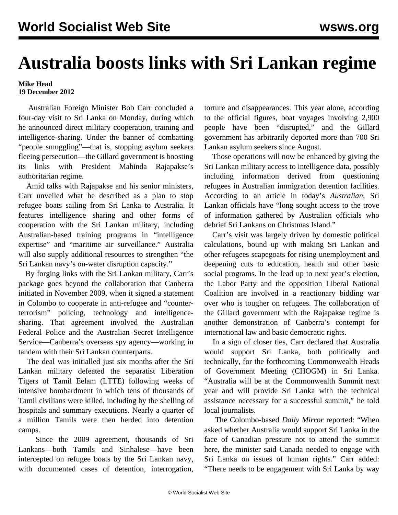## **Australia boosts links with Sri Lankan regime**

## **Mike Head 19 December 2012**

 Australian Foreign Minister Bob Carr concluded a four-day visit to Sri Lanka on Monday, during which he announced direct military cooperation, training and intelligence-sharing. Under the banner of combatting "people smuggling"—that is, stopping asylum seekers fleeing persecution—the Gillard government is boosting its links with President Mahinda Rajapakse's authoritarian regime.

 Amid talks with Rajapakse and his senior ministers, Carr unveiled what he described as a plan to stop refugee boats sailing from Sri Lanka to Australia. It features intelligence sharing and other forms of cooperation with the Sri Lankan military, including Australian-based training programs in "intelligence expertise" and "maritime air surveillance." Australia will also supply additional resources to strengthen "the Sri Lankan navy's on-water disruption capacity."

 By forging links with the Sri Lankan military, Carr's package goes beyond the collaboration that Canberra initiated in November 2009, when it signed a statement in Colombo to cooperate in anti-refugee and "counterterrorism" policing, technology and intelligencesharing. That agreement involved the Australian Federal Police and the Australian Secret Intelligence Service—Canberra's overseas spy agency—working in tandem with their Sri Lankan counterparts.

 The deal was initialled just six months after the Sri Lankan military defeated the separatist Liberation Tigers of Tamil Eelam (LTTE) following weeks of intensive bombardment in which tens of thousands of Tamil civilians were killed, including by the shelling of hospitals and summary executions. Nearly a quarter of a million Tamils were then herded into detention camps.

 Since the 2009 agreement, thousands of Sri Lankans—both Tamils and Sinhalese—have been intercepted on refugee boats by the Sri Lankan navy, with documented cases of detention, interrogation,

torture and disappearances. This year alone, according to the official figures, boat voyages involving 2,900 people have been "disrupted," and the Gillard government has arbitrarily deported more than 700 Sri Lankan asylum seekers since August.

 Those operations will now be enhanced by giving the Sri Lankan military access to intelligence data, possibly including information derived from questioning refugees in Australian immigration detention facilities. According to an article in today's *Australian*, Sri Lankan officials have "long sought access to the trove of information gathered by Australian officials who debrief Sri Lankans on Christmas Island."

 Carr's visit was largely driven by domestic political calculations, bound up with making Sri Lankan and other refugees scapegoats for rising unemployment and deepening cuts to education, health and other basic social programs. In the lead up to next year's election, the Labor Party and the opposition Liberal National Coalition are involved in a reactionary bidding war over who is tougher on refugees. The collaboration of the Gillard government with the Rajapakse regime is another demonstration of Canberra's contempt for international law and basic democratic rights.

 In a sign of closer ties, Carr declared that Australia would support Sri Lanka, both politically and technically, for the forthcoming Commonwealth Heads of Government Meeting (CHOGM) in Sri Lanka. "Australia will be at the Commonwealth Summit next year and will provide Sri Lanka with the technical assistance necessary for a successful summit," he told local journalists.

 The Colombo-based *Daily Mirror* reported: "When asked whether Australia would support Sri Lanka in the face of Canadian pressure not to attend the summit here, the minister said Canada needed to engage with Sri Lanka on issues of human rights." Carr added: "There needs to be engagement with Sri Lanka by way